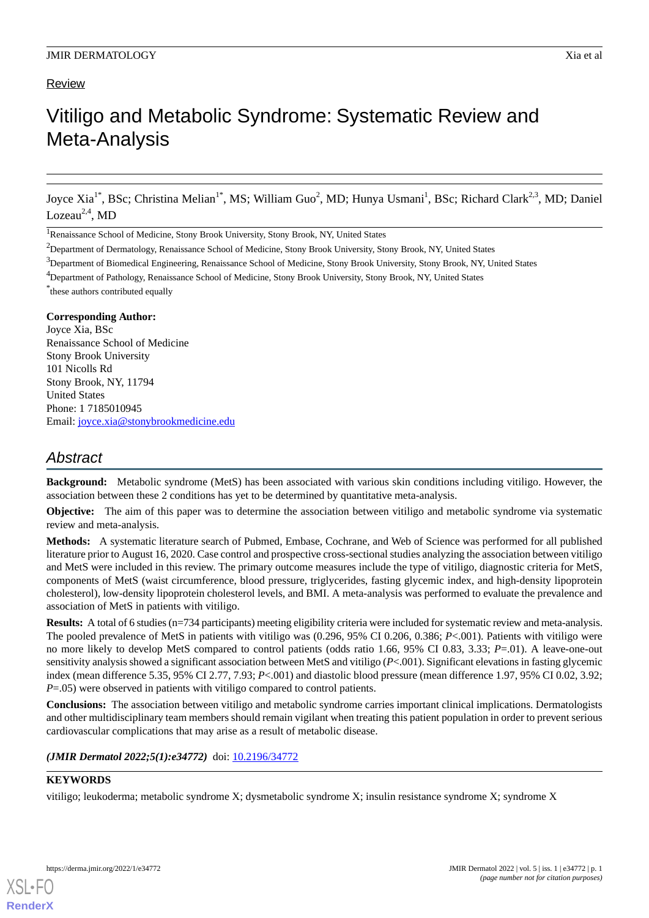## **Review**

# Vitiligo and Metabolic Syndrome: Systematic Review and Meta-Analysis

Joyce Xia<sup>1\*</sup>, BSc; Christina Melian<sup>1\*</sup>, MS; William Guo<sup>2</sup>, MD; Hunya Usmani<sup>1</sup>, BSc; Richard Clark<sup>2,3</sup>, MD; Daniel Lozeau $^{2,4}$ , MD

<sup>1</sup>Renaissance School of Medicine, Stony Brook University, Stony Brook, NY, United States

<sup>4</sup>Department of Pathology, Renaissance School of Medicine, Stony Brook University, Stony Brook, NY, United States

\* these authors contributed equally

#### **Corresponding Author:**

Joyce Xia, BSc Renaissance School of Medicine Stony Brook University 101 Nicolls Rd Stony Brook, NY, 11794 United States Phone: 1 7185010945 Email: [joyce.xia@stonybrookmedicine.edu](mailto:joyce.xia@stonybrookmedicine.edu)

# *Abstract*

**Background:** Metabolic syndrome (MetS) has been associated with various skin conditions including vitiligo. However, the association between these 2 conditions has yet to be determined by quantitative meta-analysis.

**Objective:** The aim of this paper was to determine the association between vitiligo and metabolic syndrome via systematic review and meta-analysis.

**Methods:** A systematic literature search of Pubmed, Embase, Cochrane, and Web of Science was performed for all published literature prior to August 16, 2020. Case control and prospective cross-sectional studies analyzing the association between vitiligo and MetS were included in this review. The primary outcome measures include the type of vitiligo, diagnostic criteria for MetS, components of MetS (waist circumference, blood pressure, triglycerides, fasting glycemic index, and high-density lipoprotein cholesterol), low-density lipoprotein cholesterol levels, and BMI. A meta-analysis was performed to evaluate the prevalence and association of MetS in patients with vitiligo.

**Results:** A total of 6 studies (n=734 participants) meeting eligibility criteria were included for systematic review and meta-analysis. The pooled prevalence of MetS in patients with vitiligo was (0.296, 95% CI 0.206, 0.386; *P*<.001). Patients with vitiligo were no more likely to develop MetS compared to control patients (odds ratio 1.66, 95% CI 0.83, 3.33; *P*=.01). A leave-one-out sensitivity analysis showed a significant association between MetS and vitiligo (*P*<.001). Significant elevations in fasting glycemic index (mean difference 5.35, 95% CI 2.77, 7.93; *P*<.001) and diastolic blood pressure (mean difference 1.97, 95% CI 0.02, 3.92; *P*=.05) were observed in patients with vitiligo compared to control patients.

**Conclusions:** The association between vitiligo and metabolic syndrome carries important clinical implications. Dermatologists and other multidisciplinary team members should remain vigilant when treating this patient population in order to prevent serious cardiovascular complications that may arise as a result of metabolic disease.

(JMIR Dermatol 2022;5(1):e34772) doi: [10.2196/34772](http://dx.doi.org/10.2196/34772)

#### **KEYWORDS**

[XSL](http://www.w3.org/Style/XSL)•FO **[RenderX](http://www.renderx.com/)**

vitiligo; leukoderma; metabolic syndrome X; dysmetabolic syndrome X; insulin resistance syndrome X; syndrome X

<sup>&</sup>lt;sup>2</sup>Department of Dermatology, Renaissance School of Medicine, Stony Brook University, Stony Brook, NY, United States

<sup>&</sup>lt;sup>3</sup>Department of Biomedical Engineering, Renaissance School of Medicine, Stony Brook University, Stony Brook, NY, United States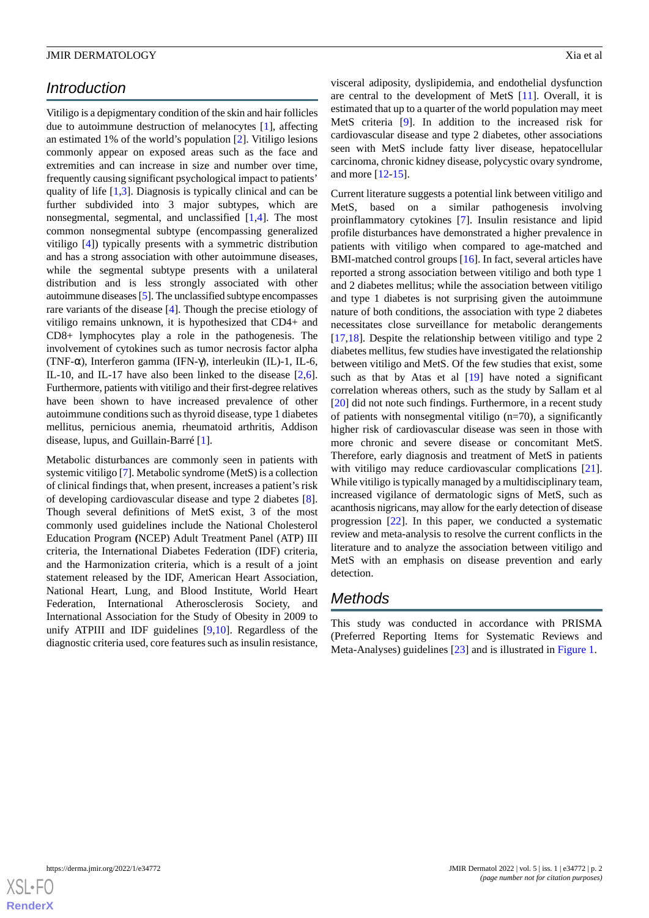# *Introduction*

Vitiligo is a depigmentary condition of the skin and hair follicles due to autoimmune destruction of melanocytes [[1\]](#page-7-0), affecting an estimated 1% of the world's population [[2](#page-7-1)]. Vitiligo lesions commonly appear on exposed areas such as the face and extremities and can increase in size and number over time, frequently causing significant psychological impact to patients' quality of life [\[1](#page-7-0),[3](#page-7-2)]. Diagnosis is typically clinical and can be further subdivided into 3 major subtypes, which are nonsegmental, segmental, and unclassified [\[1](#page-7-0),[4\]](#page-7-3). The most common nonsegmental subtype (encompassing generalized vitiligo [[4\]](#page-7-3)) typically presents with a symmetric distribution and has a strong association with other autoimmune diseases, while the segmental subtype presents with a unilateral distribution and is less strongly associated with other autoimmune diseases [\[5](#page-7-4)]. The unclassified subtype encompasses rare variants of the disease [\[4](#page-7-3)]. Though the precise etiology of vitiligo remains unknown, it is hypothesized that CD4+ and CD8+ lymphocytes play a role in the pathogenesis. The involvement of cytokines such as tumor necrosis factor alpha (TNF-α), Interferon gamma (IFN-γ), interleukin (IL)-1, IL-6, IL-10, and IL-17 have also been linked to the disease [\[2](#page-7-1),[6\]](#page-7-5). Furthermore, patients with vitiligo and their first-degree relatives have been shown to have increased prevalence of other autoimmune conditions such as thyroid disease, type 1 diabetes mellitus, pernicious anemia, rheumatoid arthritis, Addison disease, lupus, and Guillain-Barré [\[1](#page-7-0)].

Metabolic disturbances are commonly seen in patients with systemic vitiligo [[7\]](#page-7-6). Metabolic syndrome (MetS) is a collection of clinical findings that, when present, increases a patient's risk of developing cardiovascular disease and type 2 diabetes [[8\]](#page-7-7). Though several definitions of MetS exist, 3 of the most commonly used guidelines include the National Cholesterol Education Program **(**NCEP) Adult Treatment Panel (ATP) III criteria, the International Diabetes Federation (IDF) criteria, and the Harmonization criteria, which is a result of a joint statement released by the IDF, American Heart Association, National Heart, Lung, and Blood Institute, World Heart Federation, International Atherosclerosis Society, and International Association for the Study of Obesity in 2009 to unify ATPIII and IDF guidelines [[9](#page-7-8)[,10](#page-8-0)]. Regardless of the diagnostic criteria used, core features such as insulin resistance,

visceral adiposity, dyslipidemia, and endothelial dysfunction are central to the development of MetS [[11\]](#page-8-1). Overall, it is estimated that up to a quarter of the world population may meet MetS criteria [\[9](#page-7-8)]. In addition to the increased risk for cardiovascular disease and type 2 diabetes, other associations seen with MetS include fatty liver disease, hepatocellular carcinoma, chronic kidney disease, polycystic ovary syndrome, and more [[12](#page-8-2)[-15](#page-8-3)].

Current literature suggests a potential link between vitiligo and MetS, based on a similar pathogenesis involving proinflammatory cytokines [[7\]](#page-7-6). Insulin resistance and lipid profile disturbances have demonstrated a higher prevalence in patients with vitiligo when compared to age-matched and BMI-matched control groups [\[16](#page-8-4)]. In fact, several articles have reported a strong association between vitiligo and both type 1 and 2 diabetes mellitus; while the association between vitiligo and type 1 diabetes is not surprising given the autoimmune nature of both conditions, the association with type 2 diabetes necessitates close surveillance for metabolic derangements [[17,](#page-8-5)[18\]](#page-8-6). Despite the relationship between vitiligo and type 2 diabetes mellitus, few studies have investigated the relationship between vitiligo and MetS. Of the few studies that exist, some such as that by Atas et al [\[19](#page-8-7)] have noted a significant correlation whereas others, such as the study by Sallam et al [[20\]](#page-8-8) did not note such findings. Furthermore, in a recent study of patients with nonsegmental vitiligo (n=70), a significantly higher risk of cardiovascular disease was seen in those with more chronic and severe disease or concomitant MetS. Therefore, early diagnosis and treatment of MetS in patients with vitiligo may reduce cardiovascular complications [[21\]](#page-8-9). While vitiligo is typically managed by a multidisciplinary team, increased vigilance of dermatologic signs of MetS, such as acanthosis nigricans, may allow for the early detection of disease progression [\[22](#page-8-10)]. In this paper, we conducted a systematic review and meta-analysis to resolve the current conflicts in the literature and to analyze the association between vitiligo and MetS with an emphasis on disease prevention and early detection.

## *Methods*

This study was conducted in accordance with PRISMA (Preferred Reporting Items for Systematic Reviews and Meta-Analyses) guidelines [[23\]](#page-8-11) and is illustrated in [Figure 1](#page-2-0).

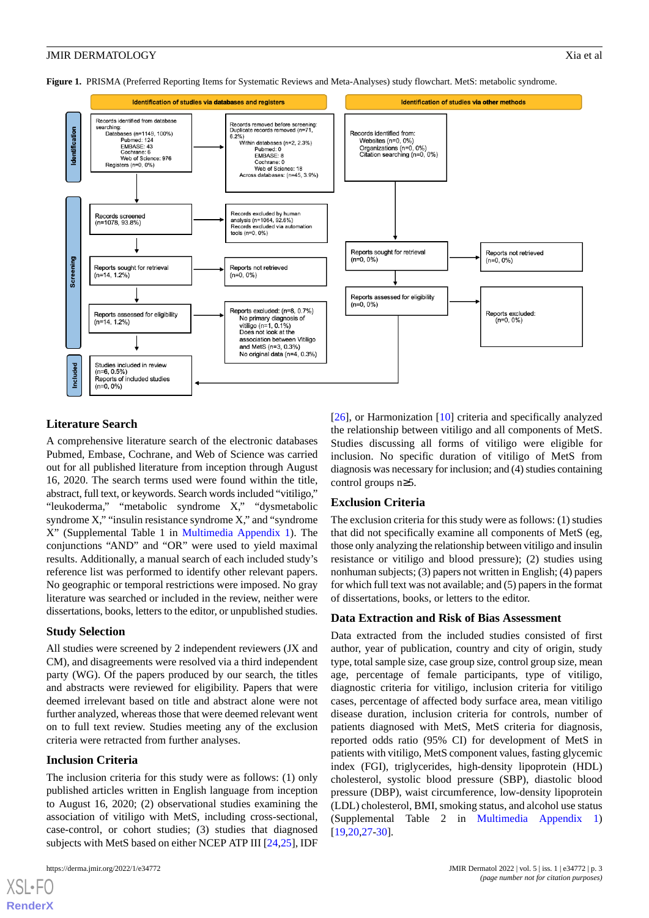<span id="page-2-0"></span>**Figure 1.** PRISMA (Preferred Reporting Items for Systematic Reviews and Meta-Analyses) study flowchart. MetS: metabolic syndrome.



## **Literature Search**

A comprehensive literature search of the electronic databases Pubmed, Embase, Cochrane, and Web of Science was carried out for all published literature from inception through August 16, 2020. The search terms used were found within the title, abstract, full text, or keywords. Search words included "vitiligo," "leukoderma," "metabolic syndrome X," "dysmetabolic syndrome X," "insulin resistance syndrome X," and "syndrome X" (Supplemental Table 1 in [Multimedia Appendix 1](#page-7-9)). The conjunctions "AND" and "OR" were used to yield maximal results. Additionally, a manual search of each included study's reference list was performed to identify other relevant papers. No geographic or temporal restrictions were imposed. No gray literature was searched or included in the review, neither were dissertations, books, letters to the editor, or unpublished studies.

## **Study Selection**

All studies were screened by 2 independent reviewers (JX and CM), and disagreements were resolved via a third independent party (WG). Of the papers produced by our search, the titles and abstracts were reviewed for eligibility. Papers that were deemed irrelevant based on title and abstract alone were not further analyzed, whereas those that were deemed relevant went on to full text review. Studies meeting any of the exclusion criteria were retracted from further analyses.

## **Inclusion Criteria**

The inclusion criteria for this study were as follows: (1) only published articles written in English language from inception to August 16, 2020; (2) observational studies examining the association of vitiligo with MetS, including cross-sectional, case-control, or cohort studies; (3) studies that diagnosed subjects with MetS based on either NCEP ATP III [\[24](#page-8-12),[25\]](#page-8-13), IDF

[[26\]](#page-8-14), or Harmonization [\[10](#page-8-0)] criteria and specifically analyzed the relationship between vitiligo and all components of MetS. Studies discussing all forms of vitiligo were eligible for inclusion. No specific duration of vitiligo of MetS from diagnosis was necessary for inclusion; and (4) studies containing control groups n≥5.

## **Exclusion Criteria**

The exclusion criteria for this study were as follows: (1) studies that did not specifically examine all components of MetS (eg, those only analyzing the relationship between vitiligo and insulin resistance or vitiligo and blood pressure); (2) studies using nonhuman subjects; (3) papers not written in English; (4) papers for which full text was not available; and (5) papers in the format of dissertations, books, or letters to the editor.

#### **Data Extraction and Risk of Bias Assessment**

Data extracted from the included studies consisted of first author, year of publication, country and city of origin, study type, total sample size, case group size, control group size, mean age, percentage of female participants, type of vitiligo, diagnostic criteria for vitiligo, inclusion criteria for vitiligo cases, percentage of affected body surface area, mean vitiligo disease duration, inclusion criteria for controls, number of patients diagnosed with MetS, MetS criteria for diagnosis, reported odds ratio (95% CI) for development of MetS in patients with vitiligo, MetS component values, fasting glycemic index (FGI), triglycerides, high-density lipoprotein (HDL) cholesterol, systolic blood pressure (SBP), diastolic blood pressure (DBP), waist circumference, low-density lipoprotein (LDL) cholesterol, BMI, smoking status, and alcohol use status (Supplemental Table 2 in [Multimedia Appendix 1](#page-7-9)) [[19,](#page-8-7)[20,](#page-8-8)[27](#page-8-15)[-30](#page-9-0)].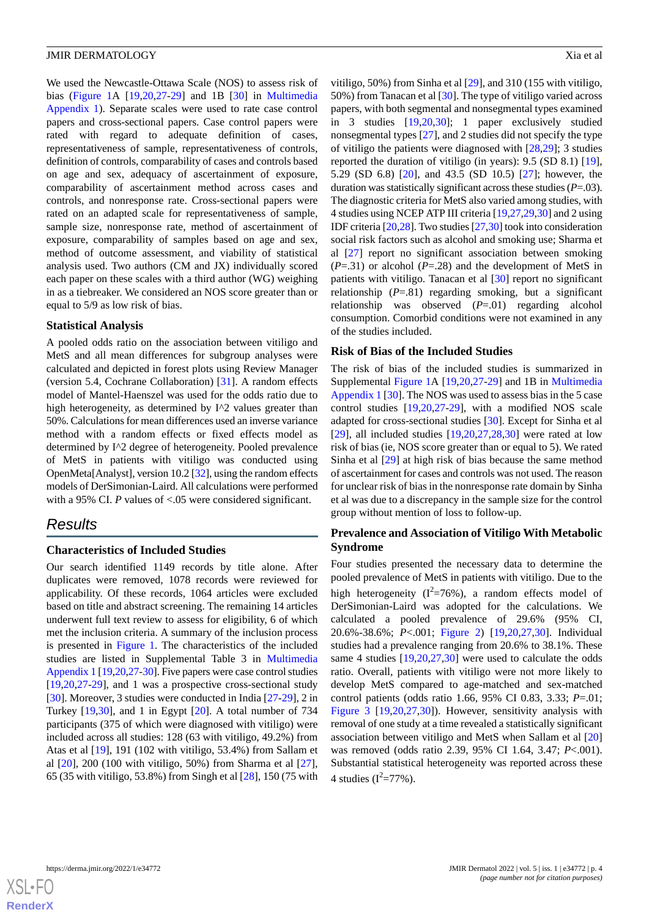We used the Newcastle-Ottawa Scale (NOS) to assess risk of bias ([Figure 1A](#page-2-0) [\[19](#page-8-7),[20](#page-8-8)[,27](#page-8-15)-[29\]](#page-8-16) and 1B [\[30](#page-9-0)] in [Multimedia](#page-7-9) [Appendix 1\)](#page-7-9). Separate scales were used to rate case control papers and cross-sectional papers. Case control papers were rated with regard to adequate definition of cases, representativeness of sample, representativeness of controls, definition of controls, comparability of cases and controls based on age and sex, adequacy of ascertainment of exposure, comparability of ascertainment method across cases and controls, and nonresponse rate. Cross-sectional papers were rated on an adapted scale for representativeness of sample, sample size, nonresponse rate, method of ascertainment of exposure, comparability of samples based on age and sex, method of outcome assessment, and viability of statistical analysis used. Two authors (CM and JX) individually scored each paper on these scales with a third author (WG) weighing in as a tiebreaker. We considered an NOS score greater than or equal to 5/9 as low risk of bias.

#### **Statistical Analysis**

A pooled odds ratio on the association between vitiligo and MetS and all mean differences for subgroup analyses were calculated and depicted in forest plots using Review Manager (version 5.4, Cochrane Collaboration) [\[31](#page-9-1)]. A random effects model of Mantel-Haenszel was used for the odds ratio due to high heterogeneity, as determined by I^2 values greater than 50%. Calculations for mean differences used an inverse variance method with a random effects or fixed effects model as determined by I^2 degree of heterogeneity. Pooled prevalence of MetS in patients with vitiligo was conducted using OpenMeta[Analyst], version 10.2 [[32\]](#page-9-2), using the random effects models of DerSimonian-Laird. All calculations were performed with a 95% CI. *P* values of <.05 were considered significant.

## *Results*

#### **Characteristics of Included Studies**

Our search identified 1149 records by title alone. After duplicates were removed, 1078 records were reviewed for applicability. Of these records, 1064 articles were excluded based on title and abstract screening. The remaining 14 articles underwent full text review to assess for eligibility, 6 of which met the inclusion criteria. A summary of the inclusion process is presented in [Figure 1.](#page-2-0) The characteristics of the included studies are listed in Supplemental Table 3 in [Multimedia](#page-7-9) [Appendix 1](#page-7-9) [\[19](#page-8-7),[20](#page-8-8),[27-](#page-8-15)[30\]](#page-9-0). Five papers were case control studies [[19](#page-8-7)[,20](#page-8-8),[27](#page-8-15)[-29](#page-8-16)], and 1 was a prospective cross-sectional study [[30\]](#page-9-0). Moreover, 3 studies were conducted in India [\[27](#page-8-15)-[29\]](#page-8-16), 2 in Turkey [[19,](#page-8-7)[30](#page-9-0)], and 1 in Egypt [[20\]](#page-8-8). A total number of 734 participants (375 of which were diagnosed with vitiligo) were included across all studies: 128 (63 with vitiligo, 49.2%) from Atas et al [\[19](#page-8-7)], 191 (102 with vitiligo, 53.4%) from Sallam et al [\[20](#page-8-8)], 200 (100 with vitiligo, 50%) from Sharma et al [[27\]](#page-8-15), 65 (35 with vitiligo, 53.8%) from Singh et al [[28\]](#page-8-17), 150 (75 with

vitiligo, 50%) from Sinha et al [\[29](#page-8-16)], and 310 (155 with vitiligo, 50%) from Tanacan et al [\[30](#page-9-0)]. The type of vitiligo varied across papers, with both segmental and nonsegmental types examined in 3 studies [\[19](#page-8-7)[,20](#page-8-8),[30\]](#page-9-0); 1 paper exclusively studied nonsegmental types [[27\]](#page-8-15), and 2 studies did not specify the type of vitiligo the patients were diagnosed with [[28,](#page-8-17)[29](#page-8-16)]; 3 studies reported the duration of vitiligo (in years): 9.5 (SD 8.1) [[19\]](#page-8-7), 5.29 (SD 6.8) [[20\]](#page-8-8), and 43.5 (SD 10.5) [[27\]](#page-8-15); however, the duration was statistically significant across these studies (*P*=.03). The diagnostic criteria for MetS also varied among studies, with 4 studies using NCEP ATP III criteria [[19,](#page-8-7)[27](#page-8-15)[,29](#page-8-16),[30\]](#page-9-0) and 2 using IDF criteria [\[20](#page-8-8),[28](#page-8-17)]. Two studies [[27,](#page-8-15)[30\]](#page-9-0) took into consideration social risk factors such as alcohol and smoking use; Sharma et al [[27\]](#page-8-15) report no significant association between smoking  $(P=.31)$  or alcohol  $(P=.28)$  and the development of MetS in patients with vitiligo. Tanacan et al [[30\]](#page-9-0) report no significant relationship (*P*=.81) regarding smoking, but a significant relationship was observed (*P*=.01) regarding alcohol consumption. Comorbid conditions were not examined in any of the studies included.

#### **Risk of Bias of the Included Studies**

The risk of bias of the included studies is summarized in Supplemental [Figure 1A](#page-2-0) [[19,](#page-8-7)[20,](#page-8-8)[27](#page-8-15)[-29](#page-8-16)] and 1B in [Multimedia](#page-7-9) [Appendix 1](#page-7-9) [\[30](#page-9-0)]. The NOS was used to assess bias in the 5 case control studies [[19](#page-8-7)[,20](#page-8-8),[27-](#page-8-15)[29](#page-8-16)], with a modified NOS scale adapted for cross-sectional studies [\[30](#page-9-0)]. Except for Sinha et al [[29\]](#page-8-16), all included studies  $[19,20,27,28,30]$  $[19,20,27,28,30]$  $[19,20,27,28,30]$  $[19,20,27,28,30]$  $[19,20,27,28,30]$  $[19,20,27,28,30]$  $[19,20,27,28,30]$  $[19,20,27,28,30]$  were rated at low risk of bias (ie, NOS score greater than or equal to 5). We rated Sinha et al [\[29](#page-8-16)] at high risk of bias because the same method of ascertainment for cases and controls was not used. The reason for unclear risk of bias in the nonresponse rate domain by Sinha et al was due to a discrepancy in the sample size for the control group without mention of loss to follow-up.

## **Prevalence and Association of Vitiligo With Metabolic Syndrome**

Four studies presented the necessary data to determine the pooled prevalence of MetS in patients with vitiligo. Due to the high heterogeneity ( $I^2 = 76\%$ ), a random effects model of DerSimonian-Laird was adopted for the calculations. We calculated a pooled prevalence of 29.6% (95% CI, 20.6%-38.6%; *P*<.001; [Figure 2\)](#page-4-0) [\[19](#page-8-7),[20,](#page-8-8)[27](#page-8-15),[30\]](#page-9-0). Individual studies had a prevalence ranging from 20.6% to 38.1%. These same 4 studies [\[19](#page-8-7),[20,](#page-8-8)[27](#page-8-15),[30\]](#page-9-0) were used to calculate the odds ratio. Overall, patients with vitiligo were not more likely to develop MetS compared to age-matched and sex-matched control patients (odds ratio 1.66, 95% CI 0.83, 3.33; *P*=.01; [Figure 3](#page-4-1) [[19](#page-8-7)[,20](#page-8-8),[27](#page-8-15)[,30](#page-9-0)]). However, sensitivity analysis with removal of one study at a time revealed a statistically significant association between vitiligo and MetS when Sallam et al [\[20](#page-8-8)] was removed (odds ratio 2.39, 95% CI 1.64, 3.47; *P*<.001). Substantial statistical heterogeneity was reported across these 4 studies  $(I^2 = 77\%)$ .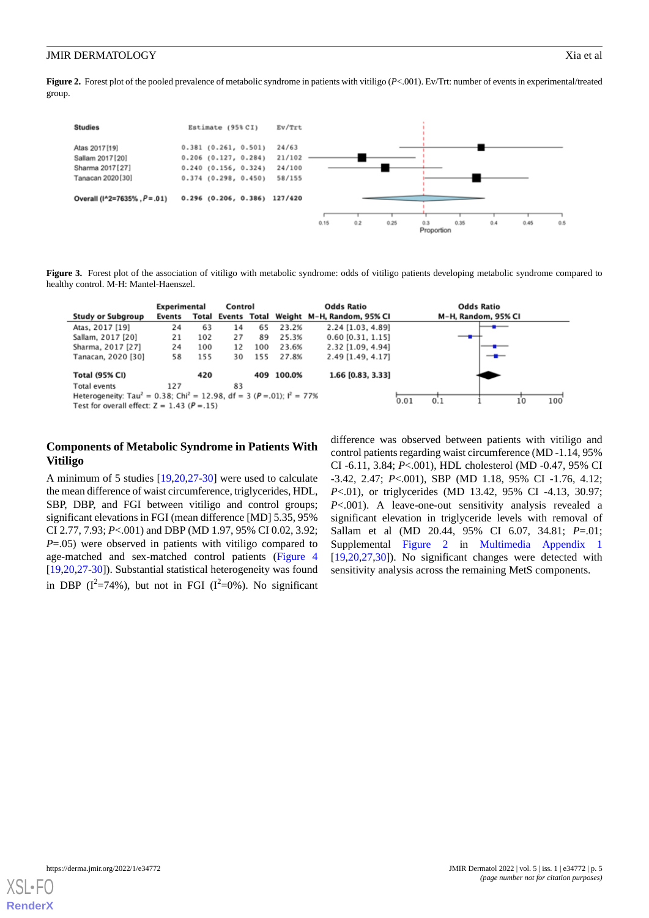<span id="page-4-0"></span>**Figure 2.** Forest plot of the pooled prevalence of metabolic syndrome in patients with vitiligo (*P*<.001). Ev/Trt: number of events in experimental/treated group.



<span id="page-4-1"></span>Figure 3. Forest plot of the association of vitiligo with metabolic syndrome: odds of vitiligo patients developing metabolic syndrome compared to healthy control. M-H: Mantel-Haenszel.

|                                                                                                                                                                   | Experimental |     | Control |     |        | <b>Odds Ratio</b>                             |    | <b>Odds Ratio</b>   |  |
|-------------------------------------------------------------------------------------------------------------------------------------------------------------------|--------------|-----|---------|-----|--------|-----------------------------------------------|----|---------------------|--|
| <b>Study or Subgroup</b>                                                                                                                                          | Events       |     |         |     |        | Total Events Total Weight M-H, Random, 95% CI |    | M-H, Random, 95% CI |  |
| Atas, 2017 [19]                                                                                                                                                   | 24           | 63  | 14      | 65  | 23.2%  | 2.24 [1.03, 4.89]                             |    |                     |  |
| Sallam, 2017 [20]                                                                                                                                                 | 21           | 102 | 27      | 89  | 25.3%  | $0.60$ [0.31, 1.15]                           |    |                     |  |
| Sharma, 2017 [27]                                                                                                                                                 | 24           | 100 | 12      | 100 | 23.6%  | 2.32 [1.09, 4.94]                             |    |                     |  |
| Tanacan, 2020 [30]                                                                                                                                                | 58           | 155 | 30      | 155 | 27.8%  | 2.49 [1.49, 4.17]                             |    |                     |  |
| <b>Total (95% CI)</b>                                                                                                                                             |              | 420 |         | 409 | 100.0% | 1.66 [0.83, 3.33]                             |    |                     |  |
| Total events                                                                                                                                                      | 127          |     | 83      |     |        |                                               |    |                     |  |
| Heterogeneity: Tau <sup>2</sup> = 0.38; Chi <sup>2</sup> = 12.98, df = 3 ( $P = .01$ ); l <sup>2</sup> = 77%<br>Test for overall effect: $Z = 1.43$ ( $P = .15$ ) |              |     |         |     |        | 0.01<br>0.1                                   | 10 | 100                 |  |
|                                                                                                                                                                   |              |     |         |     |        |                                               |    |                     |  |

## **Components of Metabolic Syndrome in Patients With Vitiligo**

A minimum of 5 studies [\[19](#page-8-7),[20](#page-8-8)[,27](#page-8-15)-[30\]](#page-9-0) were used to calculate the mean difference of waist circumference, triglycerides, HDL, SBP, DBP, and FGI between vitiligo and control groups; significant elevations in FGI (mean difference [MD] 5.35, 95% CI 2.77, 7.93; *P*<.001) and DBP (MD 1.97, 95% CI 0.02, 3.92; *P*=.05) were observed in patients with vitiligo compared to age-matched and sex-matched control patients ([Figure 4](#page-5-0) [[19](#page-8-7)[,20](#page-8-8),[27](#page-8-15)[-30](#page-9-0)]). Substantial statistical heterogeneity was found in DBP ( $I^2$ =74%), but not in FGI ( $I^2$ =0%). No significant

difference was observed between patients with vitiligo and control patients regarding waist circumference (MD -1.14, 95% CI -6.11, 3.84; *P*<.001), HDL cholesterol (MD -0.47, 95% CI -3.42, 2.47; *P*<.001), SBP (MD 1.18, 95% CI -1.76, 4.12; *P*<.01), or triglycerides (MD 13.42, 95% CI -4.13, 30.97; *P*<.001). A leave-one-out sensitivity analysis revealed a significant elevation in triglyceride levels with removal of Sallam et al (MD 20.44, 95% CI 6.07, 34.81; *P*=.01; Supplemental [Figure 2](#page-4-0) in [Multimedia Appendix 1](#page-7-9) [[19,](#page-8-7)[20,](#page-8-8)[27](#page-8-15)[,30](#page-9-0)]). No significant changes were detected with sensitivity analysis across the remaining MetS components.

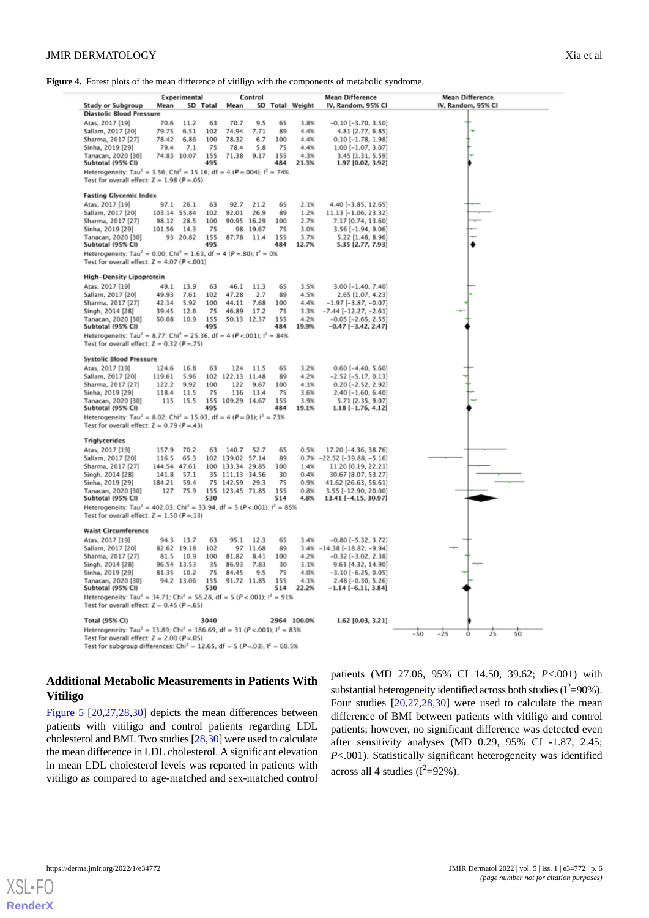<span id="page-5-0"></span>Figure 4. Forest plots of the mean difference of vitiligo with the components of metabolic syndrome.

|                                                                                                                | Experimental   |              | Control    |                      |              | <b>Mean Difference</b> |                 | <b>Mean Difference</b>                                      |                             |
|----------------------------------------------------------------------------------------------------------------|----------------|--------------|------------|----------------------|--------------|------------------------|-----------------|-------------------------------------------------------------|-----------------------------|
| <b>Study or Subgroup</b>                                                                                       | Mean           |              | SD Total   | Mean                 |              |                        | SD Total Weight | IV, Random, 95% CI                                          | IV, Random, 95% CI          |
| <b>Diastolic Blood Pressure</b>                                                                                |                |              |            |                      |              |                        |                 |                                                             |                             |
| Atas, 2017 [19]                                                                                                | 70.6           | 11.2         | 63         | 70.7                 | 9.5          | 65                     | 3.8%            | $-0.10$ [ $-3.70$ , 3.50]                                   |                             |
| Sallam, 2017 [20]                                                                                              | 79.75          | 6.51         | 102        | 74.94                | 7.71         | 89                     | 4.4%            | 4.81 [2.77, 6.85]                                           |                             |
| Sharma, 2017 [27]                                                                                              | 78.42          | 6.86         | 100        | 78.32                | 6.7          | 100                    | 4.4%            | 0.10 [-1.78, 1.98]                                          |                             |
| Sinha, 2019 [29]                                                                                               | 79.4           | 7.1          | 75         | 78.4                 | 5.8          | 75                     | 4.4%            | $1.00$ [-1.07, 3.07]                                        |                             |
| Tanacan, 2020 [30]                                                                                             | 74.83          | 10.07        | 155        | 71.38                | 9.17         | 155                    | 4.3%            | 3.45 [1.31, 5.59]                                           |                             |
| Subtotal (95% CI)                                                                                              |                |              | 495        |                      |              | 484                    | 21.3%           | 1.97 [0.02, 3.92]                                           |                             |
| Heterogeneity: Tau <sup>2</sup> = 3.56; Chi <sup>2</sup> = 15.16, df = 4 (P = 004); l <sup>2</sup> = 74%       |                |              |            |                      |              |                        |                 |                                                             |                             |
| Test for overall effect: $Z = 1.98$ ( $P = .05$ )                                                              |                |              |            |                      |              |                        |                 |                                                             |                             |
| <b>Fasting Glycemic Index</b>                                                                                  |                |              |            |                      |              |                        |                 |                                                             |                             |
| Atas, 2017 [19]                                                                                                | 97.1           | 26.1         | 63         | 92.7                 | 21.2         | 65                     | 2.1%            | 4.40 [-3.85, 12.65]                                         |                             |
| Sallam, 2017 [20]                                                                                              | 103.14 55.84   |              | 102        | 92.01                | 26.9         | 89                     | 1.2%            | 11.13 [-1.06, 23.32]                                        |                             |
| Sharma, 2017 [27]                                                                                              | 98.12          | 28.5         | 100        |                      | 90.95 16.29  | 100                    | 2.7%            | 7.17 [0.74, 13.60]                                          |                             |
| Sinha, 2019 [29]                                                                                               | 101.56         | 14.3         | 75         |                      | 98 19.67     | 75                     | 3.0%            | $3.56$ [-1.94, 9.06]                                        |                             |
| Tanacan, 2020 [30]                                                                                             |                | 93 20.82     | 155        | 87.78                | 11.4         | 155                    | 3.7%            | 5.22 [1.48, 8.96]                                           |                             |
| Subtotal (95% CI)                                                                                              |                |              | 495        |                      |              | 484                    | 12.7%           | 5.35 [2.77, 7.93]                                           |                             |
| Heterogeneity: Tau <sup>2</sup> = 0.00; Chi <sup>2</sup> = 1.63, df = 4 ( $P = .80$ ); l <sup>2</sup> = 0%     |                |              |            |                      |              |                        |                 |                                                             |                             |
| Test for overall effect: $Z = 4.07$ ( $P < .001$ )                                                             |                |              |            |                      |              |                        |                 |                                                             |                             |
|                                                                                                                |                |              |            |                      |              |                        |                 |                                                             |                             |
| <b>High-Density Lipoprotein</b>                                                                                |                |              |            |                      |              |                        |                 |                                                             |                             |
| Atas, 2017 [19]                                                                                                | 49.1           | 13.9         | 63         | 46.1                 | 11.3         | 65                     | 3.5%            | 3.00 [-1.40, 7.40]                                          |                             |
| Sallam, 2017 [20]                                                                                              | 49.93          | 7.61         | 102        | 47.28                | 2.7          | 89                     | 4.5%            | 2.65 [1.07, 4.23]                                           |                             |
| Sharma, 2017 [27]                                                                                              | 42.14<br>39.45 | 5.92<br>12.6 | 100<br>75  | 44.11                | 7.68<br>17.2 | 100<br>75              | 4.4%<br>3.3%    | $-1.97$ [ $-3.87, -0.07$ ]                                  |                             |
| Singh, 2014 [28]<br>Tanacan, 2020 [30]                                                                         | 50.08          | 10.9         | 155        | 46.89<br>50.13 12.37 |              | 155                    | 4.2%            | $-7.44$ [ $-12.27$ , $-2.61$ ]<br>$-0.05$ [ $-2.65$ , 2.55] |                             |
| Subtotal (95% CI)                                                                                              |                |              | 495        |                      |              | 484                    | 19.9%           | $-0.47$ [ $-3.42$ , 2.47]                                   |                             |
| Heterogeneity: Tau <sup>2</sup> = 8.77; Chi <sup>2</sup> = 25.36, df = 4 (P <.001); $I^2 = 84\%$               |                |              |            |                      |              |                        |                 |                                                             |                             |
| Test for overall effect: $Z = 0.32$ ( $P = 75$ )                                                               |                |              |            |                      |              |                        |                 |                                                             |                             |
|                                                                                                                |                |              |            |                      |              |                        |                 |                                                             |                             |
| <b>Systolic Blood Pressure</b>                                                                                 |                |              |            |                      |              |                        |                 |                                                             |                             |
| Atas, 2017 [19]                                                                                                | 124.6          | 16.8         | 63         | 124                  | 11.5         | 65                     | 3.2%            | $0.60$ [-4.40, 5.60]                                        |                             |
| Sallam, 2017 [20]                                                                                              | 119.61         | 5.96         | 102        | 122.13               | 11.48        | 89                     | 4.2%            | $-2.52$ [ $-5.17, 0.13$ ]                                   |                             |
| Sharma, 2017 [27]                                                                                              | 122.2          | 9.92         | 100        | 122                  | 9.67         | 100                    | 4.1%            | $0.20$ [-2.52, 2.92]                                        |                             |
| Sinha, 2019 [29]                                                                                               | 118.4          | 11.5         | 75         | 116                  | 13.4         | 75                     | 3.6%<br>3.9%    | 2.40 [-1.60, 6.40]                                          |                             |
| Tanacan, 2020 [30]<br>Subtotal (95% CI)                                                                        | 115            | 15.5         | 495        | 155 109.29 14.67     |              | 155<br>484             | 19.1%           | 5.71 [2.35, 9.07]<br>$1.18$ [-1.76, 4.12]                   |                             |
| Heterogeneity: Tau <sup>2</sup> = 8.02; Chi <sup>2</sup> = 15.03, df = 4 ( $P = 01$ ); l <sup>2</sup> = 73%    |                |              |            |                      |              |                        |                 |                                                             |                             |
| Test for overall effect: $Z = 0.79$ ( $P = 43$ )                                                               |                |              |            |                      |              |                        |                 |                                                             |                             |
|                                                                                                                |                |              |            |                      |              |                        |                 |                                                             |                             |
| <b>Triglycerides</b>                                                                                           |                |              |            |                      |              |                        |                 |                                                             |                             |
| Atas, 2017 [19]                                                                                                | 157.9          | 70.2         | 63         | 140.7                | 52.7         | 65                     | 0.5%            | 17.20 [-4.36, 38.76]                                        |                             |
| Sallam, 2017 [20]                                                                                              | 116.5          | 65.3         |            | 102 139.02 57.14     |              | 89                     |                 | 0.7% -22.52 [-39.88, -5.16]                                 |                             |
| Sharma, 2017 [27]                                                                                              | 144.54 47.61   |              |            | 100 133.34 29.85     |              | 100                    | 1.4%            | 11.20 [0.19, 22.21]                                         |                             |
| Singh, 2014 [28]                                                                                               | 141.8          | 57.1         |            | 35 111.13 34.56      |              | 30                     | 0.4%            | 30.67 [8.07, 53.27]                                         |                             |
| Sinha, 2019 [29]                                                                                               | 184.21         | 59.4         |            | 75 142.59            | 29.3         | 75                     | 0.9%            | 41.62 [26.63, 56.61]                                        |                             |
| Tanacan, 2020 [30]<br>Subtotal (95% CI)                                                                        | 127            | 75.9         | 530        | 155 123.45 71.85     |              | 155<br>514             | 0.8%<br>4.8%    | 3.55 [-12.90, 20.00]<br>13.41 [-4.15, 30.97]                |                             |
| Heterogeneity: Tau <sup>2</sup> = 402.03; Chi <sup>2</sup> = 33.94, df = 5 (P <.001); l <sup>2</sup> = 85%     |                |              |            |                      |              |                        |                 |                                                             |                             |
| Test for overall effect: $Z = 1.50$ ( $P = 1.13$ )                                                             |                |              |            |                      |              |                        |                 |                                                             |                             |
|                                                                                                                |                |              |            |                      |              |                        |                 |                                                             |                             |
| <b>Waist Circumference</b>                                                                                     |                |              |            |                      |              |                        |                 |                                                             |                             |
| Atas, 2017 [19]                                                                                                | 94.3           | 13.7         | 63         | 95.1                 | 12.3         | 65                     | 3.4%            | $-0.80$ [ $-5.32$ , 3.72]                                   |                             |
| Sallam, 2017 [20]                                                                                              |                | 82.62 19.18  | 102        | 97                   | 11.68        | 89                     |                 | $3.4% -14.38[-18.82, -9.94]$                                |                             |
| Sharma, 2017 [27]                                                                                              | 81.5           | 10.9         | 100        | 81.82                | 8.41         | 100                    | 4.2%            | $-0.32$ [ $-3.02$ , 2.38]                                   |                             |
| Singh, 2014 [28]                                                                                               |                | 96.54 13.53  | 35         | 86.93                | 7.83         | 30                     | 3.1%            | 9.61 [4.32, 14.90]                                          |                             |
| Sinha, 2019 [29]                                                                                               | 81.35          | 10.2         | 75         | 84.45                | 9.5          | 75                     | 4.0%            | $-3.10[-6.25, 0.05]$                                        |                             |
| Tanacan, 2020 [30]<br>Subtotal (95% CI)                                                                        |                | 94.2 13.06   | 155<br>530 | 91.72 11.85          |              | 155<br>514             | 4.1%<br>22.2%   | 2.48 [-0.30, 5.26]<br>$-1.14$ [-6.11, 3.84]                 |                             |
| Heterogeneity: Tau <sup>2</sup> = 34.71; Chi <sup>2</sup> = 58.28, df = 5 ( $P < .001$ ); l <sup>2</sup> = 91% |                |              |            |                      |              |                        |                 |                                                             |                             |
| Test for overall effect: $Z = 0.45$ ( $P = .65$ )                                                              |                |              |            |                      |              |                        |                 |                                                             |                             |
|                                                                                                                |                |              |            |                      |              |                        |                 |                                                             |                             |
| <b>Total (95% CI)</b>                                                                                          |                |              | 3040       |                      |              |                        | 2964 100.0%     | 1.62 [0.03, 3.21]                                           |                             |
| Heterogeneity: Tau <sup>2</sup> = 13.89; Chi <sup>2</sup> = 186.69, df = 31 (P <.001); l <sup>2</sup> = 83%    |                |              |            |                      |              |                        |                 |                                                             | -50<br>-25<br>25<br>50<br>0 |
| Test for overall effect: $Z = 2.00$ ( $P = .05$ )                                                              |                |              |            |                      |              |                        |                 |                                                             |                             |
| Test for subgroup differences: Chi <sup>2</sup> = 12.65, df = 5 (P=.03), $I^2$ = 60.5%                         |                |              |            |                      |              |                        |                 |                                                             |                             |

## **Additional Metabolic Measurements in Patients With Vitiligo**

[Figure 5](#page-6-0) [[20](#page-8-8)[,27](#page-8-15),[28](#page-8-17)[,30](#page-9-0)] depicts the mean differences between patients with vitiligo and control patients regarding LDL cholesterol and BMI. Two studies [[28](#page-8-17),[30\]](#page-9-0) were used to calculate the mean difference in LDL cholesterol. A significant elevation in mean LDL cholesterol levels was reported in patients with vitiligo as compared to age-matched and sex-matched control

patients (MD 27.06, 95% CI 14.50, 39.62; *P*<.001) with substantial heterogeneity identified across both studies  $(I^2=90\%)$ . Four studies [[20](#page-8-8)[,27](#page-8-15),[28](#page-8-17)[,30](#page-9-0)] were used to calculate the mean difference of BMI between patients with vitiligo and control patients; however, no significant difference was detected even after sensitivity analyses (MD 0.29, 95% CI -1.87, 2.45; *P*<.001). Statistically significant heterogeneity was identified across all 4 studies  $(I^2=92\%)$ .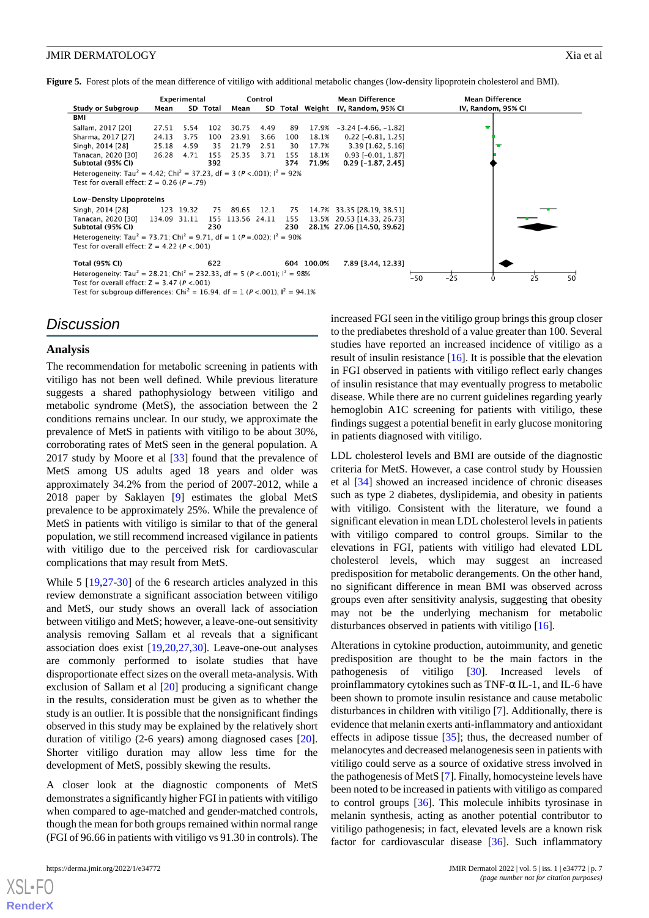<span id="page-6-0"></span>**Figure 5.** Forest plots of the mean difference of vitiligo with additional metabolic changes (low-density lipoprotein cholesterol and BMI).

|                                                                                                                                                                                                | Experimental |           | Control    |                  |            |            | <b>Mean Difference</b> | <b>Mean Difference</b>                                   |                    |          |
|------------------------------------------------------------------------------------------------------------------------------------------------------------------------------------------------|--------------|-----------|------------|------------------|------------|------------|------------------------|----------------------------------------------------------|--------------------|----------|
| Study or Subgroup                                                                                                                                                                              | Mean         |           | SD Total   | Mean             |            |            | SD Total Weight        | IV, Random, 95% CI                                       | IV, Random, 95% CI |          |
| BMI                                                                                                                                                                                            |              |           |            |                  |            |            |                        |                                                          |                    |          |
| Sallam, 2017 [20]                                                                                                                                                                              | 27.51        | 5.54      | 102        | 30.75            | 4.49       | 89         | 17.9%                  | $-3.24$ [ $-4.66$ , $-1.82$ ]                            |                    |          |
| Sharma, 2017 [27]                                                                                                                                                                              | 24.13        | 3.75      | 100        | 23.91            | 3.66       | 100        | 18.1%                  | $0.22$ [-0.81, 1.25]                                     |                    |          |
| Singh, 2014 [28]                                                                                                                                                                               | 25.18        | 4.59      | 35         | 21.79            | 2.51       | 30         | 17.7%                  | $3.39$ [1.62, 5.16]                                      |                    | ÷        |
| Tanacan, 2020 [30]<br>Subtotal (95% CI)                                                                                                                                                        | 26.28        | 4.71      | 155<br>392 | 25.35            | 3.71       | 155<br>374 | 18.1%<br>71.9%         | $0.93$ [-0.01, 1.87]<br>$0.29$ [-1.87, 2.45]             |                    |          |
| Heterogeneity: Tau <sup>2</sup> = 4.42; Chi <sup>2</sup> = 37.23, df = 3 ( $P < .001$ ); l <sup>2</sup> = 92%<br>Test for overall effect: $Z = 0.26$ ( $P = .79$ )<br>Low-Density Lipoproteins |              |           |            |                  |            |            |                        |                                                          |                    |          |
| Singh, 2014 [28]                                                                                                                                                                               |              | 123 19.32 | 75         |                  | 89.65 12.1 | 75         |                        | 14.7% 33.35 [28.19, 38.51]                               |                    |          |
| Tanacan. 2020 [30]<br>Subtotal (95% CI)                                                                                                                                                        | 134.09 31.11 |           | 230        | 155 113.56 24.11 |            | 155<br>230 |                        | 13.5% 20.53 [14.33, 26.73]<br>28.1% 27.06 [14.50, 39.62] |                    |          |
| Heterogeneity: Tau <sup>2</sup> = 73.71; Chi <sup>2</sup> = 9.71, df = 1 ( $P = .002$ ); l <sup>2</sup> = 90%<br>Test for overall effect: $Z = 4.22$ ( $P < .001$ )                            |              |           |            |                  |            |            |                        |                                                          |                    |          |
| <b>Total (95% CI)</b>                                                                                                                                                                          |              |           | 622        |                  |            |            | 604 100.0%             | 7.89 [3.44, 12.33]                                       |                    |          |
| Heterogeneity: Tau <sup>2</sup> = 28.21; Chi <sup>2</sup> = 232.33, df = 5 (P < 001); $I^2$ = 98%<br>Test for overall effect: $Z = 3.47$ ( $P < .001$ )                                        |              |           |            |                  |            |            |                        |                                                          | $-25$<br>$-50$     | 25<br>50 |

Test for subgroup differences: Chi<sup>2</sup> = 16.94, df = 1 ( $P$  <.001), l<sup>2</sup> = 94.1%

## *Discussion*

#### **Analysis**

The recommendation for metabolic screening in patients with vitiligo has not been well defined. While previous literature suggests a shared pathophysiology between vitiligo and metabolic syndrome (MetS), the association between the 2 conditions remains unclear. In our study, we approximate the prevalence of MetS in patients with vitiligo to be about 30%, corroborating rates of MetS seen in the general population. A 2017 study by Moore et al [\[33](#page-9-3)] found that the prevalence of MetS among US adults aged 18 years and older was approximately 34.2% from the period of 2007-2012, while a 2018 paper by Saklayen [[9\]](#page-7-8) estimates the global MetS prevalence to be approximately 25%. While the prevalence of MetS in patients with vitiligo is similar to that of the general population, we still recommend increased vigilance in patients with vitiligo due to the perceived risk for cardiovascular complications that may result from MetS.

While 5 [[19,](#page-8-7)[27](#page-8-15)-[30\]](#page-9-0) of the 6 research articles analyzed in this review demonstrate a significant association between vitiligo and MetS, our study shows an overall lack of association between vitiligo and MetS; however, a leave-one-out sensitivity analysis removing Sallam et al reveals that a significant association does exist [[19](#page-8-7)[,20](#page-8-8),[27](#page-8-15)[,30](#page-9-0)]. Leave-one-out analyses are commonly performed to isolate studies that have disproportionate effect sizes on the overall meta-analysis. With exclusion of Sallam et al [\[20](#page-8-8)] producing a significant change in the results, consideration must be given as to whether the study is an outlier. It is possible that the nonsignificant findings observed in this study may be explained by the relatively short duration of vitiligo (2-6 years) among diagnosed cases [[20\]](#page-8-8). Shorter vitiligo duration may allow less time for the development of MetS, possibly skewing the results.

A closer look at the diagnostic components of MetS demonstrates a significantly higher FGI in patients with vitiligo when compared to age-matched and gender-matched controls, though the mean for both groups remained within normal range (FGI of 96.66 in patients with vitiligo vs 91.30 in controls). The

[XSL](http://www.w3.org/Style/XSL)•FO **[RenderX](http://www.renderx.com/)**

increased FGI seen in the vitiligo group brings this group closer to the prediabetes threshold of a value greater than 100. Several studies have reported an increased incidence of vitiligo as a result of insulin resistance  $[16]$  $[16]$ . It is possible that the elevation in FGI observed in patients with vitiligo reflect early changes of insulin resistance that may eventually progress to metabolic disease. While there are no current guidelines regarding yearly hemoglobin A1C screening for patients with vitiligo, these findings suggest a potential benefit in early glucose monitoring in patients diagnosed with vitiligo.

LDL cholesterol levels and BMI are outside of the diagnostic criteria for MetS. However, a case control study by Houssien et al [\[34](#page-9-4)] showed an increased incidence of chronic diseases such as type 2 diabetes, dyslipidemia, and obesity in patients with vitiligo. Consistent with the literature, we found a significant elevation in mean LDL cholesterol levels in patients with vitiligo compared to control groups. Similar to the elevations in FGI, patients with vitiligo had elevated LDL cholesterol levels, which may suggest an increased predisposition for metabolic derangements. On the other hand, no significant difference in mean BMI was observed across groups even after sensitivity analysis, suggesting that obesity may not be the underlying mechanism for metabolic disturbances observed in patients with vitiligo [[16\]](#page-8-4).

Alterations in cytokine production, autoimmunity, and genetic predisposition are thought to be the main factors in the pathogenesis of vitiligo [[30\]](#page-9-0). Increased levels of proinflammatory cytokines such as TNF- $\alpha$  IL-1, and IL-6 have been shown to promote insulin resistance and cause metabolic disturbances in children with vitiligo [[7\]](#page-7-6). Additionally, there is evidence that melanin exerts anti-inflammatory and antioxidant effects in adipose tissue [[35\]](#page-9-5); thus, the decreased number of melanocytes and decreased melanogenesis seen in patients with vitiligo could serve as a source of oxidative stress involved in the pathogenesis of MetS [\[7](#page-7-6)]. Finally, homocysteine levels have been noted to be increased in patients with vitiligo as compared to control groups [[36\]](#page-9-6). This molecule inhibits tyrosinase in melanin synthesis, acting as another potential contributor to vitiligo pathogenesis; in fact, elevated levels are a known risk factor for cardiovascular disease [\[36](#page-9-6)]. Such inflammatory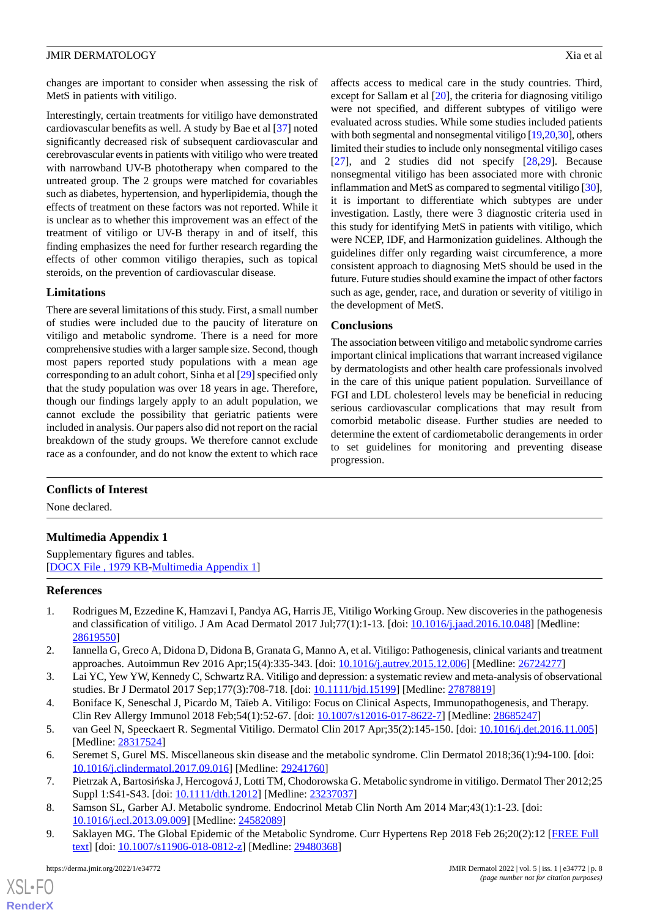changes are important to consider when assessing the risk of MetS in patients with vitiligo.

Interestingly, certain treatments for vitiligo have demonstrated cardiovascular benefits as well. A study by Bae et al [[37\]](#page-9-7) noted significantly decreased risk of subsequent cardiovascular and cerebrovascular events in patients with vitiligo who were treated with narrowband UV-B phototherapy when compared to the untreated group. The 2 groups were matched for covariables such as diabetes, hypertension, and hyperlipidemia, though the effects of treatment on these factors was not reported. While it is unclear as to whether this improvement was an effect of the treatment of vitiligo or UV-B therapy in and of itself, this finding emphasizes the need for further research regarding the effects of other common vitiligo therapies, such as topical steroids, on the prevention of cardiovascular disease.

## **Limitations**

There are several limitations of this study. First, a small number of studies were included due to the paucity of literature on vitiligo and metabolic syndrome. There is a need for more comprehensive studies with a larger sample size. Second, though most papers reported study populations with a mean age corresponding to an adult cohort, Sinha et al [[29\]](#page-8-16) specified only that the study population was over 18 years in age. Therefore, though our findings largely apply to an adult population, we cannot exclude the possibility that geriatric patients were included in analysis. Our papers also did not report on the racial breakdown of the study groups. We therefore cannot exclude race as a confounder, and do not know the extent to which race affects access to medical care in the study countries. Third, except for Sallam et al [\[20](#page-8-8)], the criteria for diagnosing vitiligo were not specified, and different subtypes of vitiligo were evaluated across studies. While some studies included patients with both segmental and nonsegmental vitiligo [[19](#page-8-7),[20](#page-8-8),[30\]](#page-9-0), others limited their studies to include only nonsegmental vitiligo cases [[27\]](#page-8-15), and 2 studies did not specify [\[28](#page-8-17),[29\]](#page-8-16). Because nonsegmental vitiligo has been associated more with chronic inflammation and MetS as compared to segmental vitiligo [[30\]](#page-9-0), it is important to differentiate which subtypes are under investigation. Lastly, there were 3 diagnostic criteria used in this study for identifying MetS in patients with vitiligo, which were NCEP, IDF, and Harmonization guidelines. Although the guidelines differ only regarding waist circumference, a more consistent approach to diagnosing MetS should be used in the future. Future studies should examine the impact of other factors such as age, gender, race, and duration or severity of vitiligo in the development of MetS.

## **Conclusions**

The association between vitiligo and metabolic syndrome carries important clinical implications that warrant increased vigilance by dermatologists and other health care professionals involved in the care of this unique patient population. Surveillance of FGI and LDL cholesterol levels may be beneficial in reducing serious cardiovascular complications that may result from comorbid metabolic disease. Further studies are needed to determine the extent of cardiometabolic derangements in order to set guidelines for monitoring and preventing disease progression.

## <span id="page-7-9"></span>**Conflicts of Interest**

None declared.

## **Multimedia Appendix 1**

<span id="page-7-0"></span>Supplementary figures and tables. [[DOCX File , 1979 KB](https://jmir.org/api/download?alt_name=derma_v5i1e34772_app1.docx&filename=d859e100c8c97f0b429d8b16b5d1533d.docx)-[Multimedia Appendix 1\]](https://jmir.org/api/download?alt_name=derma_v5i1e34772_app1.docx&filename=d859e100c8c97f0b429d8b16b5d1533d.docx)

## <span id="page-7-1"></span>**References**

- <span id="page-7-2"></span>1. Rodrigues M, Ezzedine K, Hamzavi I, Pandya AG, Harris JE, Vitiligo Working Group. New discoveries in the pathogenesis and classification of vitiligo. J Am Acad Dermatol 2017 Jul;77(1):1-13. [doi: [10.1016/j.jaad.2016.10.048\]](http://dx.doi.org/10.1016/j.jaad.2016.10.048) [Medline: [28619550](http://www.ncbi.nlm.nih.gov/entrez/query.fcgi?cmd=Retrieve&db=PubMed&list_uids=28619550&dopt=Abstract)]
- <span id="page-7-4"></span><span id="page-7-3"></span>2. Iannella G, Greco A, Didona D, Didona B, Granata G, Manno A, et al. Vitiligo: Pathogenesis, clinical variants and treatment approaches. Autoimmun Rev 2016 Apr;15(4):335-343. [doi: [10.1016/j.autrev.2015.12.006\]](http://dx.doi.org/10.1016/j.autrev.2015.12.006) [Medline: [26724277\]](http://www.ncbi.nlm.nih.gov/entrez/query.fcgi?cmd=Retrieve&db=PubMed&list_uids=26724277&dopt=Abstract)
- <span id="page-7-5"></span>3. Lai YC, Yew YW, Kennedy C, Schwartz RA. Vitiligo and depression: a systematic review and meta-analysis of observational studies. Br J Dermatol 2017 Sep;177(3):708-718. [doi: [10.1111/bjd.15199\]](http://dx.doi.org/10.1111/bjd.15199) [Medline: [27878819](http://www.ncbi.nlm.nih.gov/entrez/query.fcgi?cmd=Retrieve&db=PubMed&list_uids=27878819&dopt=Abstract)]
- <span id="page-7-6"></span>4. Boniface K, Seneschal J, Picardo M, Taïeb A. Vitiligo: Focus on Clinical Aspects, Immunopathogenesis, and Therapy. Clin Rev Allergy Immunol 2018 Feb;54(1):52-67. [doi: [10.1007/s12016-017-8622-7](http://dx.doi.org/10.1007/s12016-017-8622-7)] [Medline: [28685247](http://www.ncbi.nlm.nih.gov/entrez/query.fcgi?cmd=Retrieve&db=PubMed&list_uids=28685247&dopt=Abstract)]
- <span id="page-7-7"></span>5. van Geel N, Speeckaert R. Segmental Vitiligo. Dermatol Clin 2017 Apr;35(2):145-150. [doi: [10.1016/j.det.2016.11.005](http://dx.doi.org/10.1016/j.det.2016.11.005)] [Medline: [28317524](http://www.ncbi.nlm.nih.gov/entrez/query.fcgi?cmd=Retrieve&db=PubMed&list_uids=28317524&dopt=Abstract)]
- <span id="page-7-8"></span>6. Seremet S, Gurel MS. Miscellaneous skin disease and the metabolic syndrome. Clin Dermatol 2018;36(1):94-100. [doi: [10.1016/j.clindermatol.2017.09.016](http://dx.doi.org/10.1016/j.clindermatol.2017.09.016)] [Medline: [29241760\]](http://www.ncbi.nlm.nih.gov/entrez/query.fcgi?cmd=Retrieve&db=PubMed&list_uids=29241760&dopt=Abstract)
- 7. Pietrzak A, Bartosińska J, Hercogová J, Lotti TM, Chodorowska G. Metabolic syndrome in vitiligo. Dermatol Ther 2012;25 Suppl 1:S41-S43. [doi: [10.1111/dth.12012](http://dx.doi.org/10.1111/dth.12012)] [Medline: [23237037](http://www.ncbi.nlm.nih.gov/entrez/query.fcgi?cmd=Retrieve&db=PubMed&list_uids=23237037&dopt=Abstract)]
- 8. Samson SL, Garber AJ. Metabolic syndrome. Endocrinol Metab Clin North Am 2014 Mar;43(1):1-23. [doi: [10.1016/j.ecl.2013.09.009](http://dx.doi.org/10.1016/j.ecl.2013.09.009)] [Medline: [24582089](http://www.ncbi.nlm.nih.gov/entrez/query.fcgi?cmd=Retrieve&db=PubMed&list_uids=24582089&dopt=Abstract)]
- 9. Saklayen MG. The Global Epidemic of the Metabolic Syndrome. Curr Hypertens Rep 2018 Feb 26;20(2):12 [\[FREE Full](http://europepmc.org/abstract/MED/29480368) [text](http://europepmc.org/abstract/MED/29480368)] [doi: [10.1007/s11906-018-0812-z](http://dx.doi.org/10.1007/s11906-018-0812-z)] [Medline: [29480368\]](http://www.ncbi.nlm.nih.gov/entrez/query.fcgi?cmd=Retrieve&db=PubMed&list_uids=29480368&dopt=Abstract)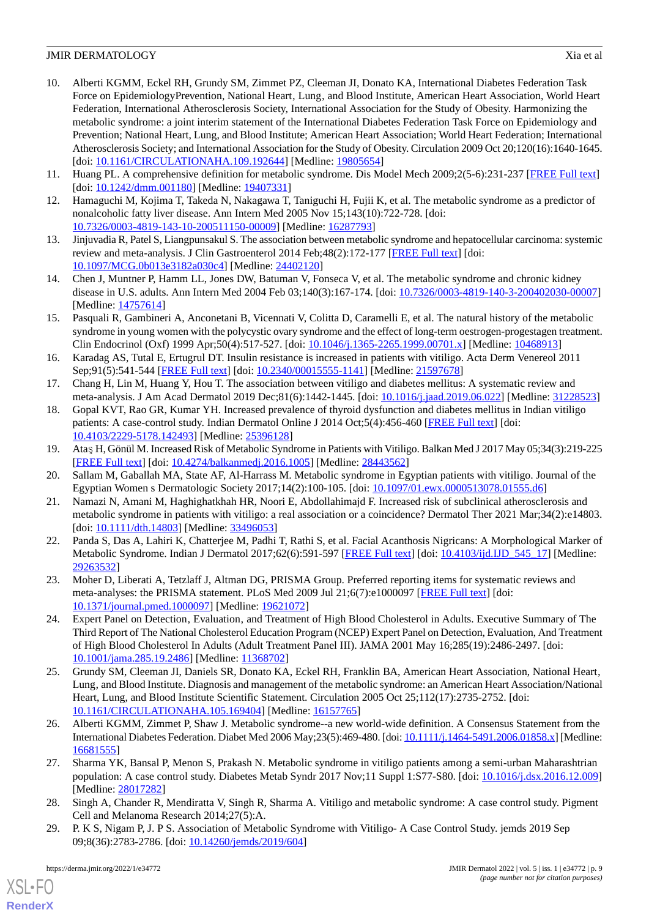- <span id="page-8-0"></span>10. Alberti KGMM, Eckel RH, Grundy SM, Zimmet PZ, Cleeman JI, Donato KA, International Diabetes Federation Task Force on EpidemiologyPrevention, National Heart, Lung, and Blood Institute, American Heart Association, World Heart Federation, International Atherosclerosis Society, International Association for the Study of Obesity. Harmonizing the metabolic syndrome: a joint interim statement of the International Diabetes Federation Task Force on Epidemiology and Prevention; National Heart, Lung, and Blood Institute; American Heart Association; World Heart Federation; International Atherosclerosis Society; and International Association for the Study of Obesity. Circulation 2009 Oct 20;120(16):1640-1645. [doi: [10.1161/CIRCULATIONAHA.109.192644](http://dx.doi.org/10.1161/CIRCULATIONAHA.109.192644)] [Medline: [19805654\]](http://www.ncbi.nlm.nih.gov/entrez/query.fcgi?cmd=Retrieve&db=PubMed&list_uids=19805654&dopt=Abstract)
- <span id="page-8-2"></span><span id="page-8-1"></span>11. Huang PL. A comprehensive definition for metabolic syndrome. Dis Model Mech 2009;2(5-6):231-237 [\[FREE Full text\]](https://journals.biologists.com/dmm/article-lookup/doi/10.1242/dmm.001180) [doi: [10.1242/dmm.001180](http://dx.doi.org/10.1242/dmm.001180)] [Medline: [19407331](http://www.ncbi.nlm.nih.gov/entrez/query.fcgi?cmd=Retrieve&db=PubMed&list_uids=19407331&dopt=Abstract)]
- 12. Hamaguchi M, Kojima T, Takeda N, Nakagawa T, Taniguchi H, Fujii K, et al. The metabolic syndrome as a predictor of nonalcoholic fatty liver disease. Ann Intern Med 2005 Nov 15;143(10):722-728. [doi: [10.7326/0003-4819-143-10-200511150-00009](http://dx.doi.org/10.7326/0003-4819-143-10-200511150-00009)] [Medline: [16287793](http://www.ncbi.nlm.nih.gov/entrez/query.fcgi?cmd=Retrieve&db=PubMed&list_uids=16287793&dopt=Abstract)]
- 13. Jinjuvadia R, Patel S, Liangpunsakul S. The association between metabolic syndrome and hepatocellular carcinoma: systemic review and meta-analysis. J Clin Gastroenterol 2014 Feb;48(2):172-177 [[FREE Full text](http://europepmc.org/abstract/MED/24402120)] [doi: [10.1097/MCG.0b013e3182a030c4](http://dx.doi.org/10.1097/MCG.0b013e3182a030c4)] [Medline: [24402120](http://www.ncbi.nlm.nih.gov/entrez/query.fcgi?cmd=Retrieve&db=PubMed&list_uids=24402120&dopt=Abstract)]
- <span id="page-8-3"></span>14. Chen J, Muntner P, Hamm LL, Jones DW, Batuman V, Fonseca V, et al. The metabolic syndrome and chronic kidney disease in U.S. adults. Ann Intern Med 2004 Feb 03;140(3):167-174. [doi: [10.7326/0003-4819-140-3-200402030-00007](http://dx.doi.org/10.7326/0003-4819-140-3-200402030-00007)] [Medline: [14757614](http://www.ncbi.nlm.nih.gov/entrez/query.fcgi?cmd=Retrieve&db=PubMed&list_uids=14757614&dopt=Abstract)]
- <span id="page-8-4"></span>15. Pasquali R, Gambineri A, Anconetani B, Vicennati V, Colitta D, Caramelli E, et al. The natural history of the metabolic syndrome in young women with the polycystic ovary syndrome and the effect of long-term oestrogen-progestagen treatment. Clin Endocrinol (Oxf) 1999 Apr;50(4):517-527. [doi: [10.1046/j.1365-2265.1999.00701.x](http://dx.doi.org/10.1046/j.1365-2265.1999.00701.x)] [Medline: [10468913](http://www.ncbi.nlm.nih.gov/entrez/query.fcgi?cmd=Retrieve&db=PubMed&list_uids=10468913&dopt=Abstract)]
- <span id="page-8-6"></span><span id="page-8-5"></span>16. Karadag AS, Tutal E, Ertugrul DT. Insulin resistance is increased in patients with vitiligo. Acta Derm Venereol 2011 Sep;91(5):541-544 [[FREE Full text](https://www.medicaljournals.se/acta/content/abstract/10.2340/00015555-1141)] [doi: [10.2340/00015555-1141](http://dx.doi.org/10.2340/00015555-1141)] [Medline: [21597678\]](http://www.ncbi.nlm.nih.gov/entrez/query.fcgi?cmd=Retrieve&db=PubMed&list_uids=21597678&dopt=Abstract)
- 17. Chang H, Lin M, Huang Y, Hou T. The association between vitiligo and diabetes mellitus: A systematic review and meta-analysis. J Am Acad Dermatol 2019 Dec;81(6):1442-1445. [doi: [10.1016/j.jaad.2019.06.022\]](http://dx.doi.org/10.1016/j.jaad.2019.06.022) [Medline: [31228523](http://www.ncbi.nlm.nih.gov/entrez/query.fcgi?cmd=Retrieve&db=PubMed&list_uids=31228523&dopt=Abstract)]
- <span id="page-8-8"></span><span id="page-8-7"></span>18. Gopal KVT, Rao GR, Kumar YH. Increased prevalence of thyroid dysfunction and diabetes mellitus in Indian vitiligo patients: A case-control study. Indian Dermatol Online J 2014 Oct;5(4):456-460 [[FREE Full text](http://europepmc.org/abstract/MED/25396128)] [doi: [10.4103/2229-5178.142493\]](http://dx.doi.org/10.4103/2229-5178.142493) [Medline: [25396128](http://www.ncbi.nlm.nih.gov/entrez/query.fcgi?cmd=Retrieve&db=PubMed&list_uids=25396128&dopt=Abstract)]
- <span id="page-8-9"></span>19. Ataş H, Gönül M. Increased Risk of Metabolic Syndrome in Patients with Vitiligo. Balkan Med J 2017 May 05;34(3):219-225 [[FREE Full text](https://doi.org/10.4274/balkanmedj.2016.1005)] [doi: [10.4274/balkanmedj.2016.1005](http://dx.doi.org/10.4274/balkanmedj.2016.1005)] [Medline: [28443562](http://www.ncbi.nlm.nih.gov/entrez/query.fcgi?cmd=Retrieve&db=PubMed&list_uids=28443562&dopt=Abstract)]
- <span id="page-8-10"></span>20. Sallam M, Gaballah MA, State AF, Al-Harrass M. Metabolic syndrome in Egyptian patients with vitiligo. Journal of the Egyptian Women s Dermatologic Society 2017;14(2):100-105. [doi: [10.1097/01.ewx.0000513078.01555.d6](http://dx.doi.org/10.1097/01.ewx.0000513078.01555.d6)]
- 21. Namazi N, Amani M, Haghighatkhah HR, Noori E, Abdollahimajd F. Increased risk of subclinical atherosclerosis and metabolic syndrome in patients with vitiligo: a real association or a coincidence? Dermatol Ther 2021 Mar;34(2):e14803. [doi: [10.1111/dth.14803\]](http://dx.doi.org/10.1111/dth.14803) [Medline: [33496053](http://www.ncbi.nlm.nih.gov/entrez/query.fcgi?cmd=Retrieve&db=PubMed&list_uids=33496053&dopt=Abstract)]
- <span id="page-8-12"></span><span id="page-8-11"></span>22. Panda S, Das A, Lahiri K, Chatterjee M, Padhi T, Rathi S, et al. Facial Acanthosis Nigricans: A Morphological Marker of Metabolic Syndrome. Indian J Dermatol 2017;62(6):591-597 [[FREE Full text](http://www.e-ijd.org/article.asp?issn=0019-5154;year=2017;volume=62;issue=6;spage=591;epage=597;aulast=Panda)] [doi: [10.4103/ijd.IJD\\_545\\_17](http://dx.doi.org/10.4103/ijd.IJD_545_17)] [Medline: [29263532](http://www.ncbi.nlm.nih.gov/entrez/query.fcgi?cmd=Retrieve&db=PubMed&list_uids=29263532&dopt=Abstract)]
- 23. Moher D, Liberati A, Tetzlaff J, Altman DG, PRISMA Group. Preferred reporting items for systematic reviews and meta-analyses: the PRISMA statement. PLoS Med 2009 Jul 21;6(7):e1000097 [[FREE Full text](https://dx.plos.org/10.1371/journal.pmed.1000097)] [doi: [10.1371/journal.pmed.1000097](http://dx.doi.org/10.1371/journal.pmed.1000097)] [Medline: [19621072](http://www.ncbi.nlm.nih.gov/entrez/query.fcgi?cmd=Retrieve&db=PubMed&list_uids=19621072&dopt=Abstract)]
- <span id="page-8-13"></span>24. Expert Panel on Detection, Evaluation, and Treatment of High Blood Cholesterol in Adults. Executive Summary of The Third Report of The National Cholesterol Education Program (NCEP) Expert Panel on Detection, Evaluation, And Treatment of High Blood Cholesterol In Adults (Adult Treatment Panel III). JAMA 2001 May 16;285(19):2486-2497. [doi: [10.1001/jama.285.19.2486\]](http://dx.doi.org/10.1001/jama.285.19.2486) [Medline: [11368702\]](http://www.ncbi.nlm.nih.gov/entrez/query.fcgi?cmd=Retrieve&db=PubMed&list_uids=11368702&dopt=Abstract)
- <span id="page-8-15"></span><span id="page-8-14"></span>25. Grundy SM, Cleeman JI, Daniels SR, Donato KA, Eckel RH, Franklin BA, American Heart Association, National Heart, Lung, and Blood Institute. Diagnosis and management of the metabolic syndrome: an American Heart Association/National Heart, Lung, and Blood Institute Scientific Statement. Circulation 2005 Oct 25;112(17):2735-2752. [doi: [10.1161/CIRCULATIONAHA.105.169404\]](http://dx.doi.org/10.1161/CIRCULATIONAHA.105.169404) [Medline: [16157765\]](http://www.ncbi.nlm.nih.gov/entrez/query.fcgi?cmd=Retrieve&db=PubMed&list_uids=16157765&dopt=Abstract)
- <span id="page-8-17"></span>26. Alberti KGMM, Zimmet P, Shaw J. Metabolic syndrome--a new world-wide definition. A Consensus Statement from the International Diabetes Federation. Diabet Med 2006 May;23(5):469-480. [doi: [10.1111/j.1464-5491.2006.01858.x](http://dx.doi.org/10.1111/j.1464-5491.2006.01858.x)] [Medline: [16681555](http://www.ncbi.nlm.nih.gov/entrez/query.fcgi?cmd=Retrieve&db=PubMed&list_uids=16681555&dopt=Abstract)]
- <span id="page-8-16"></span>27. Sharma YK, Bansal P, Menon S, Prakash N. Metabolic syndrome in vitiligo patients among a semi-urban Maharashtrian population: A case control study. Diabetes Metab Syndr 2017 Nov;11 Suppl 1:S77-S80. [doi: [10.1016/j.dsx.2016.12.009](http://dx.doi.org/10.1016/j.dsx.2016.12.009)] [Medline: [28017282](http://www.ncbi.nlm.nih.gov/entrez/query.fcgi?cmd=Retrieve&db=PubMed&list_uids=28017282&dopt=Abstract)]
- 28. Singh A, Chander R, Mendiratta V, Singh R, Sharma A. Vitiligo and metabolic syndrome: A case control study. Pigment Cell and Melanoma Research 2014;27(5):A.
- 29. P. K S, Nigam P, J. P S. Association of Metabolic Syndrome with Vitiligo- A Case Control Study. jemds 2019 Sep 09;8(36):2783-2786. [doi: [10.14260/jemds/2019/604](http://dx.doi.org/10.14260/jemds/2019/604)]